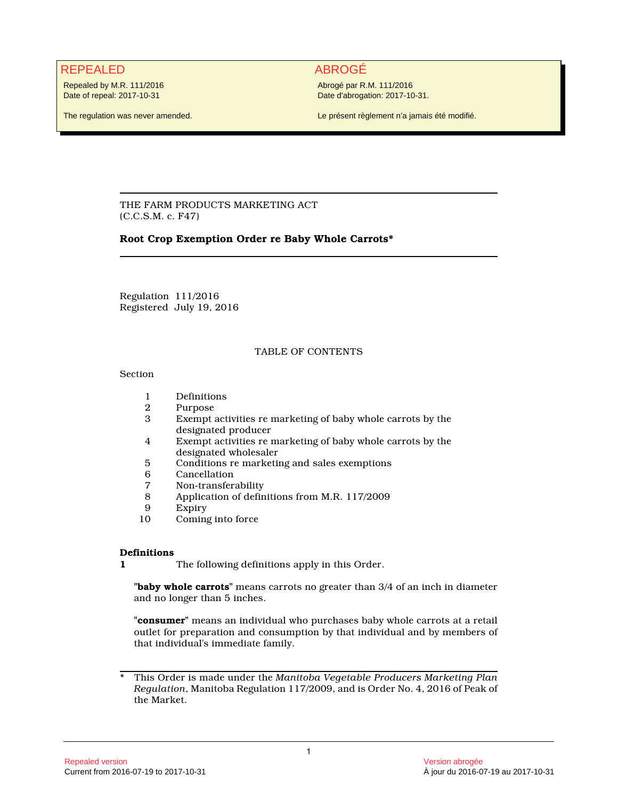# REPEALED ABROGÉ

Repealed by M.R. 111/2016 Date of repeal: 2017-10-31

The regulation was never amended.

Abrogé par R.M. 111/2016 Date d'abrogation: 2017-10-31.

Le présent règlement n'a jamais été modifié.

THE FARM PRODUCTS MARKETING ACT (C.C.S.M. c. F47)

# **Root Crop Exemption Order re Baby Whole Carrots\***

Regulation 111/2016 Registered July 19, 2016

# TABLE OF CONTENTS

#### Section

- 1 Definitions<br>2 Purpose
- **Purpose**
- 3 Exempt activities re marketing of baby whole carrots by the designated producer
- 4 Exempt activities re marketing of baby whole carrots by the designated wholesaler
- 5 Conditions re marketing and sales exemptions
- 6 Cancellation
- 7 Non-transferability<br>8 Application of defin
- 8 Application of definitions from M.R. 117/2009<br>9 Expiry
- **Expiry**
- 10 Coming into force

## **Definitions**

**1** The following definitions apply in this Order.

**"baby whole carrots"** means carrots no greater than 3/4 of an inch in diameter and no longer than 5 inches.

**"consumer"** means an individual who purchases baby whole carrots at a retail outlet for preparation and consumption by that individual and by members of that individual's immediate family.

<sup>\*</sup> This Order is made under the *Manitoba Vegetable Producers Marketing Plan Regulation*, Manitoba Regulation 117/2009, and is Order No. 4, 2016 of Peak of the Market.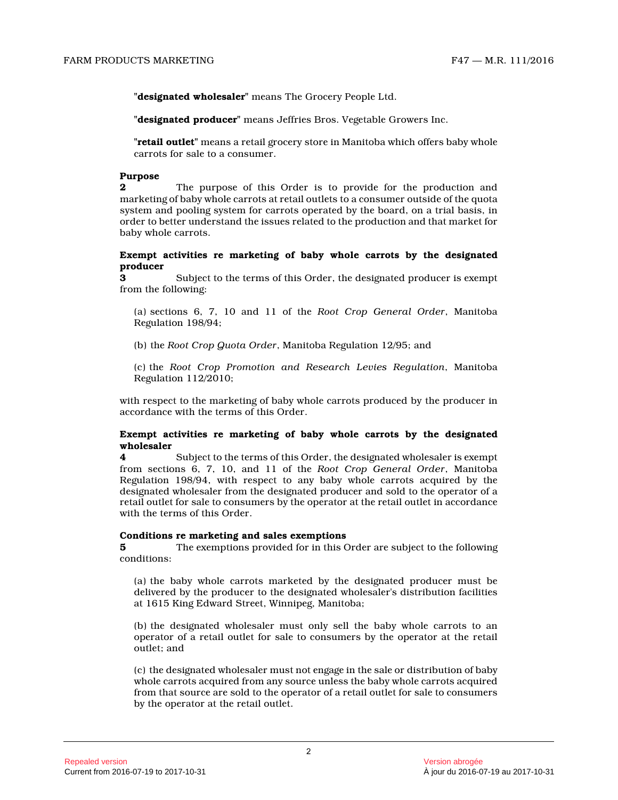**"designated wholesaler"** means The Grocery People Ltd.

**"designated producer"** means Jeffries Bros. Vegetable Growers Inc.

**"retail outlet"** means a retail grocery store in Manitoba which offers baby whole carrots for sale to a consumer.

#### **Purpose**

**2** The purpose of this Order is to provide for the production and marketing of baby whole carrots at retail outlets to a consumer outside of the quota system and pooling system for carrots operated by the board, on a trial basis, in order to better understand the issues related to the production and that market for baby whole carrots.

#### **Exempt activities re marketing of baby whole carrots by the designated producer**

**3** Subject to the terms of this Order, the designated producer is exempt from the following:

(a) sections 6, 7, 10 and 11 of the *Root Crop General Order*, Manitoba Regulation 198/94;

(b) the *Root Crop Quota Order*, Manitoba Regulation 12/95; and

(c) the *Root Crop Promotion and Research Levies Regulation*, Manitoba Regulation 112/2010;

with respect to the marketing of baby whole carrots produced by the producer in accordance with the terms of this Order.

#### **Exempt activities re marketing of baby whole carrots by the designated wholesaler**

**4** Subject to the terms of this Order, the designated wholesaler is exempt from sections 6, 7, 10, and 11 of the *Root Crop General Order*, Manitoba Regulation 198/94, with respect to any baby whole carrots acquired by the designated wholesaler from the designated producer and sold to the operator of a retail outlet for sale to consumers by the operator at the retail outlet in accordance with the terms of this Order.

#### **Conditions re marketing and sales exemptions**

**5** The exemptions provided for in this Order are subject to the following conditions:

(a) the baby whole carrots marketed by the designated producer must be delivered by the producer to the designated wholesaler's distribution facilities at 1615 King Edward Street, Winnipeg, Manitoba;

(b) the designated wholesaler must only sell the baby whole carrots to an operator of a retail outlet for sale to consumers by the operator at the retail outlet; and

(c) the designated wholesaler must not engage in the sale or distribution of baby whole carrots acquired from any source unless the baby whole carrots acquired from that source are sold to the operator of a retail outlet for sale to consumers by the operator at the retail outlet.